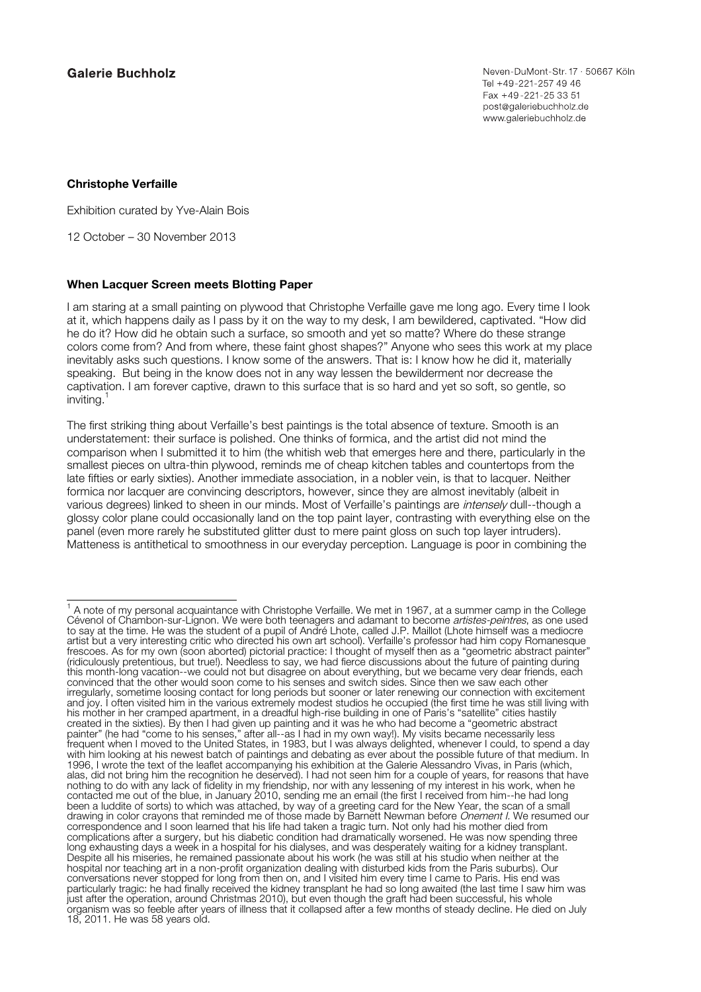## **Galerie Buchholz**

## **Christophe Verfaille**

Exhibition curated by Yve-Alain Bois

12 October – 30 November 2013

## **When Lacquer Screen meets Blotting Paper**

I am staring at a small painting on plywood that Christophe Verfaille gave me long ago. Every time I look at it, which happens daily as I pass by it on the way to my desk, I am bewildered, captivated. "How did he do it? How did he obtain such a surface, so smooth and yet so matte? Where do these strange colors come from? And from where, these faint ghost shapes?" Anyone who sees this work at my place inevitably asks such questions. I know some of the answers. That is: I know how he did it, materially speaking. But being in the know does not in any way lessen the bewilderment nor decrease the captivation. I am forever captive, drawn to this surface that is so hard and yet so soft, so gentle, so inviting.

The first striking thing about Verfaille's best paintings is the total absence of texture. Smooth is an understatement: their surface is polished. One thinks of formica, and the artist did not mind the comparison when I submitted it to him (the whitish web that emerges here and there, particularly in the smallest pieces on ultra-thin plywood, reminds me of cheap kitchen tables and countertops from the late fifties or early sixties). Another immediate association, in a nobler vein, is that to lacquer. Neither formica nor lacquer are convincing descriptors, however, since they are almost inevitably (albeit in various degrees) linked to sheen in our minds. Most of Verfaille's paintings are intensely dull--though a glossy color plane could occasionally land on the top paint layer, contrasting with everything else on the panel (even more rarely he substituted glitter dust to mere paint gloss on such top layer intruders). Matteness is antithetical to smoothness in our everyday perception. Language is poor in combining the

<sup>1</sup> A note of my personal acquaintance with Christophe Verfaille. We met in 1967, at a summer camp in the College Cévenol of Chambon-sur-Lignon. We were both teenagers and adamant to become *artistes-peintres*, as one used to say at the time. He was the student of a pupil of André Lhote, called J.P. Maillot (Lhote himself was a mediocre artist but a very interesting critic who directed his own art school). Verfaille's professor had him copy Romanesque frescoes. As for my own (soon aborted) pictorial practice: I thought of myself then as a "geometric abstract painter" (ridiculously pretentious, but true!). Needless to say, we had fierce discussions about the future of painting during this month-long vacation--we could not but disagree on about everything, but we became very dear friends, each convinced that the other would soon come to his senses and switch sides. Since then we saw each other irregularly, sometime loosing contact for long periods but sooner or later renewing our connection with excitement and joy. I often visited him in the various extremely modest studios he occupied (the first time he was still living with his mother in her cramped apartment, in a dreadful high-rise building in one of Paris's "satellite" cities hastily created in the sixties). By then I had given up painting and it was he who had become a "geometric abstract painter" (he had "come to his senses," after all--as I had in my own way!). My visits became necessarily less frequent when I moved to the United States, in 1983, but I was always delighted, whenever I could, to spend a day with him looking at his newest batch of paintings and debating as ever about the possible future of that medium. In 1996, I wrote the text of the leaflet accompanying his exhibition at the Galerie Alessandro Vivas, in Paris (which, alas, did not bring him the recognition he deserved). I had not seen him for a couple of years, for reasons that have nothing to do with any lack of fidelity in my friendship, nor with any lessening of my interest in his work, when he contacted me out of the blue, in January 2010, sending me an email (the first I received from him--he had long been a luddite of sorts) to which was attached, by way of a greeting card for the New Year, the scan of a small drawing in color crayons that reminded me of those made by Barnett Newman before Onement I. We resumed our correspondence and I soon learned that his life had taken a tragic turn. Not only had his mother died from complications after a surgery, but his diabetic condition had dramatically worsened. He was now spending three long exhausting days a week in a hospital for his dialyses, and was desperately waiting for a kidney transplant. Despite all his miseries, he remained passionate about his work (he was still at his studio when neither at the hospital nor teaching art in a non-profit organization dealing with disturbed kids from the Paris suburbs). Our conversations never stopped for long from then on, and I visited him every time I came to Paris. His end was particularly tragic: he had finally received the kidney transplant he had so long awaited (the last time I saw him was just after the operation, around Christmas 2010), but even though the graft had been successful, his whole organism was so feeble after years of illness that it collapsed after a few months of steady decline. He died on July 18, 2011. He was 58 years old.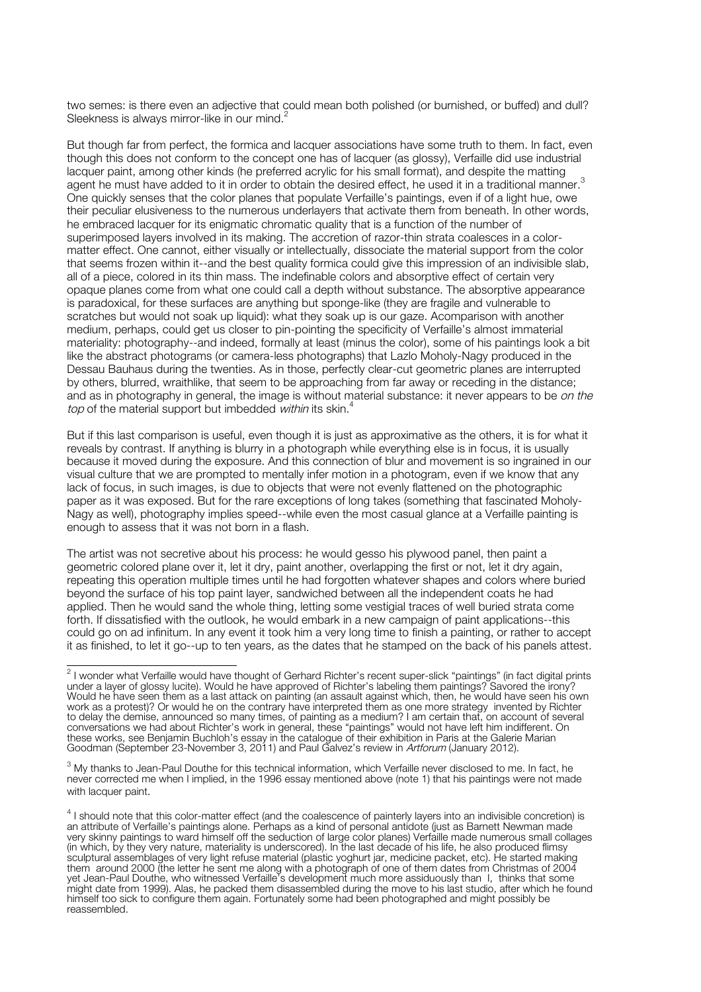two semes: is there even an adjective that could mean both polished (or burnished, or buffed) and dull? Sleekness is always mirror-like in our mind.

But though far from perfect, the formica and lacquer associations have some truth to them. In fact, even though this does not conform to the concept one has of lacquer (as glossy), Verfaille did use industrial lacquer paint, among other kinds (he preferred acrylic for his small format), and despite the matting agent he must have added to it in order to obtain the desired effect, he used it in a traditional manner.<sup>3</sup> One quickly senses that the color planes that populate Verfaille's paintings, even if of a light hue, owe their peculiar elusiveness to the numerous underlayers that activate them from beneath. In other words, he embraced lacquer for its enigmatic chromatic quality that is a function of the number of superimposed layers involved in its making. The accretion of razor-thin strata coalesces in a colormatter effect. One cannot, either visually or intellectually, dissociate the material support from the color that seems frozen within it--and the best quality formica could give this impression of an indivisible slab, all of a piece, colored in its thin mass. The indefinable colors and absorptive effect of certain very opaque planes come from what one could call a depth without substance. The absorptive appearance is paradoxical, for these surfaces are anything but sponge-like (they are fragile and vulnerable to scratches but would not soak up liquid): what they soak up is our gaze. Acomparison with another medium, perhaps, could get us closer to pin-pointing the specificity of Verfaille's almost immaterial materiality: photography--and indeed, formally at least (minus the color), some of his paintings look a bit like the abstract photograms (or camera-less photographs) that Lazlo Moholy-Nagy produced in the Dessau Bauhaus during the twenties. As in those, perfectly clear-cut geometric planes are interrupted by others, blurred, wraithlike, that seem to be approaching from far away or receding in the distance; and as in photography in general, the image is without material substance: it never appears to be on the top of the material support but imbedded within its skin.<sup>4</sup>

But if this last comparison is useful, even though it is just as approximative as the others, it is for what it reveals by contrast. If anything is blurry in a photograph while everything else is in focus, it is usually because it moved during the exposure. And this connection of blur and movement is so ingrained in our visual culture that we are prompted to mentally infer motion in a photogram, even if we know that any lack of focus, in such images, is due to objects that were not evenly flattened on the photographic paper as it was exposed. But for the rare exceptions of long takes (something that fascinated Moholy-Nagy as well), photography implies speed--while even the most casual glance at a Verfaille painting is enough to assess that it was not born in a flash.

The artist was not secretive about his process: he would gesso his plywood panel, then paint a geometric colored plane over it, let it dry, paint another, overlapping the first or not, let it dry again, repeating this operation multiple times until he had forgotten whatever shapes and colors where buried beyond the surface of his top paint layer, sandwiched between all the independent coats he had applied. Then he would sand the whole thing, letting some vestigial traces of well buried strata come forth. If dissatisfied with the outlook, he would embark in a new campaign of paint applications--this could go on ad infinitum. In any event it took him a very long time to finish a painting, or rather to accept it as finished, to let it go--up to ten years, as the dates that he stamped on the back of his panels attest.

<sup>&</sup>lt;sup>2</sup> I wonder what Verfaille would have thought of Gerhard Richter's recent super-slick "paintings" (in fact digital prints under a layer of glossy lucite). Would he have approved of Richter's labeling them paintings? Savored the irony? Would he have seen them as a last attack on painting (an assault against which, then, he would have seen his own work as a protest)? Or would he on the contrary have interpreted them as one more strategy invented by Richter to delay the demise, announced so many times, of painting as a medium? I am certain that, on account of several conversations we had about Richter's work in general, these "paintings" would not have left him indifferent. On these works, see Benjamin Buchloh's essay in the catalogue of their exhibition in Paris at the Galerie Marian Goodman (September 23-November 3, 2011) and Paul Galvez's review in Artforum (January 2012).

 $3$  My thanks to Jean-Paul Douthe for this technical information, which Verfaille never disclosed to me. In fact, he never corrected me when I implied, in the 1996 essay mentioned above (note 1) that his paintings were not made with lacquer paint.

<sup>&</sup>lt;sup>4</sup> I should note that this color-matter effect (and the coalescence of painterly layers into an indivisible concretion) is an attribute of Verfaille's paintings alone. Perhaps as a kind of personal antidote (just as Barnett Newman made very skinny paintings to ward himself off the seduction of large color planes) Verfaille made numerous small collages (in which, by they very nature, materiality is underscored). In the last decade of his life, he also produced flimsy sculptural assemblages of very light refuse material (plastic yoghurt jar, medicine packet, etc). He started making them around 2000 (the letter he sent me along with a photograph of one of them dates from Christmas of 2004 yet Jean-Paul Douthe, who witnessed Verfaille's development much more assiduously than I, thinks that some might date from 1999). Alas, he packed them disassembled during the move to his last studio, after which he found himself too sick to configure them again. Fortunately some had been photographed and might possibly be reassembled.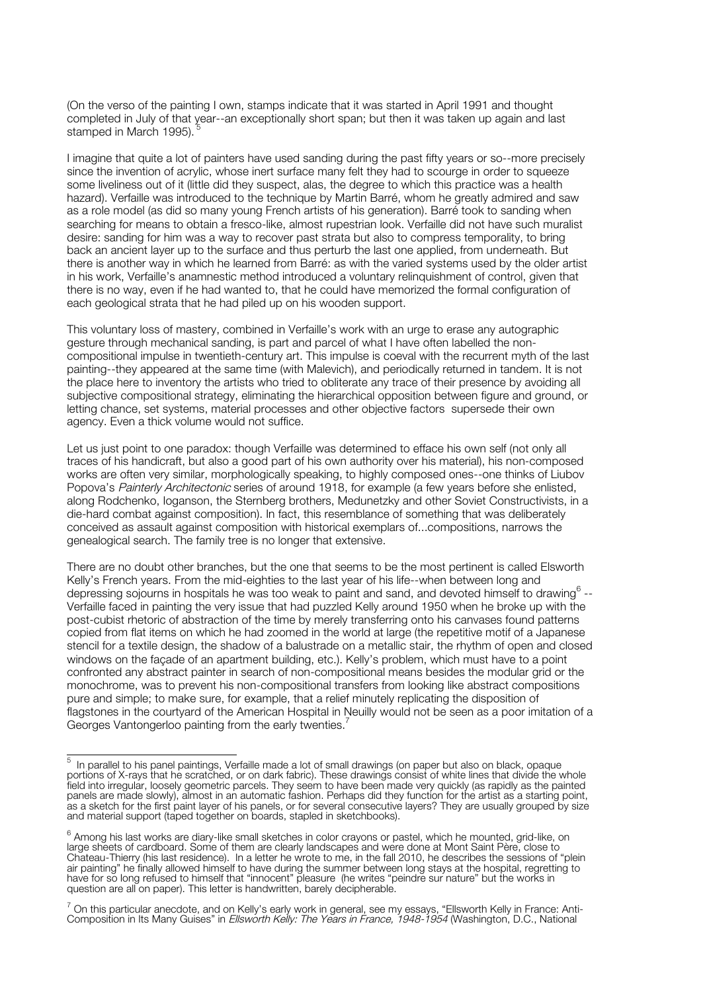(On the verso of the painting I own, stamps indicate that it was started in April 1991 and thought completed in July of that year--an exceptionally short span; but then it was taken up again and last stamped in March 1995).

I imagine that quite a lot of painters have used sanding during the past fifty years or so--more precisely since the invention of acrylic, whose inert surface many felt they had to scourge in order to squeeze some liveliness out of it (little did they suspect, alas, the degree to which this practice was a health hazard). Verfaille was introduced to the technique by Martin Barré, whom he greatly admired and saw as a role model (as did so many young French artists of his generation). Barré took to sanding when searching for means to obtain a fresco-like, almost rupestrian look. Verfaille did not have such muralist desire: sanding for him was a way to recover past strata but also to compress temporality, to bring back an ancient layer up to the surface and thus perturb the last one applied, from underneath. But there is another way in which he learned from Barré: as with the varied systems used by the older artist in his work, Verfaille's anamnestic method introduced a voluntary relinquishment of control, given that there is no way, even if he had wanted to, that he could have memorized the formal configuration of each geological strata that he had piled up on his wooden support.

This voluntary loss of mastery, combined in Verfaille's work with an urge to erase any autographic gesture through mechanical sanding, is part and parcel of what I have often labelled the noncompositional impulse in twentieth-century art. This impulse is coeval with the recurrent myth of the last painting--they appeared at the same time (with Malevich), and periodically returned in tandem. It is not the place here to inventory the artists who tried to obliterate any trace of their presence by avoiding all subjective compositional strategy, eliminating the hierarchical opposition between figure and ground, or letting chance, set systems, material processes and other objective factors supersede their own agency. Even a thick volume would not suffice.

Let us just point to one paradox: though Verfaille was determined to efface his own self (not only all traces of his handicraft, but also a good part of his own authority over his material), his non-composed works are often very similar, morphologically speaking, to highly composed ones--one thinks of Liubov Popova's Painterly Architectonic series of around 1918, for example (a few years before she enlisted, along Rodchenko, Ioganson, the Sternberg brothers, Medunetzky and other Soviet Constructivists, in a die-hard combat against composition). In fact, this resemblance of something that was deliberately conceived as assault against composition with historical exemplars of...compositions, narrows the genealogical search. The family tree is no longer that extensive.

There are no doubt other branches, but the one that seems to be the most pertinent is called Elsworth Kelly's French years. From the mid-eighties to the last year of his life--when between long and depressing sojourns in hospitals he was too weak to paint and sand, and devoted himself to drawing<sup>6</sup> --Verfaille faced in painting the very issue that had puzzled Kelly around 1950 when he broke up with the post-cubist rhetoric of abstraction of the time by merely transferring onto his canvases found patterns copied from flat items on which he had zoomed in the world at large (the repetitive motif of a Japanese stencil for a textile design, the shadow of a balustrade on a metallic stair, the rhythm of open and closed windows on the façade of an apartment building, etc.). Kelly's problem, which must have to a point confronted any abstract painter in search of non-compositional means besides the modular grid or the monochrome, was to prevent his non-compositional transfers from looking like abstract compositions pure and simple; to make sure, for example, that a relief minutely replicating the disposition of flagstones in the courtyard of the American Hospital in Neuilly would not be seen as a poor imitation of a Georges Vantongerloo painting from the early twenties.<sup>7</sup>

5 In parallel to his panel paintings, Verfaille made a lot of small drawings (on paper but also on black, opaque portions of X-rays that he scratched, or on dark fabric). These drawings consist of white lines that divide the whole field into irregular, loosely geometric parcels. They seem to have been made very quickly (as rapidly as the painted panels are made slowly), almost in an automatic fashion. Perhaps did they function for the artist as a starting point, as a sketch for the first paint layer of his panels, or for several consecutive layers? They are usually grouped by size and material support (taped together on boards, stapled in sketchbooks).

 $6$  Among his last works are diary-like small sketches in color crayons or pastel, which he mounted, grid-like, on large sheets of cardboard. Some of them are clearly landscapes and were done at Mont Saint Père, close to Chateau-Thierry (his last residence). In a letter he wrote to me, in the fall 2010, he describes the sessions of "plein air painting" he finally allowed himself to have during the summer between long stays at the hospital, regretting to have for so long refused to himself that "innocent" pleasure (he writes "peindre sur nature" but the works in question are all on paper). This letter is handwritten, barely decipherable.

<sup>&</sup>lt;sup>7</sup> On this particular anecdote, and on Kelly's early work in general, see my essays, "Ellsworth Kelly in France: Anti-<br>Composition in Its Many Guises" in *Ellsworth Kelly: The Years in France, 1948-1954* (Washington, D.C.